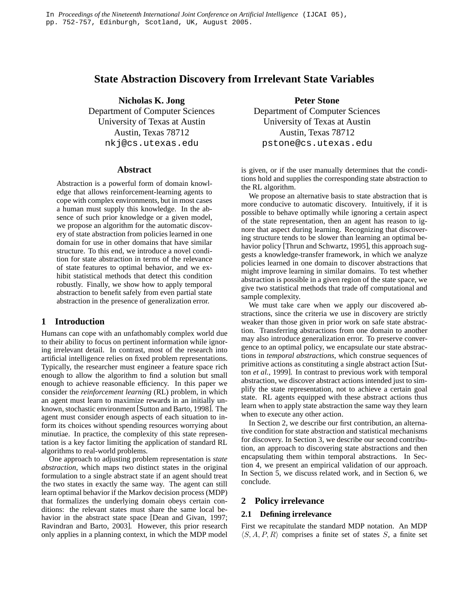# **State Abstraction Discovery from Irrelevant State Variables**

**Nicholas K. Jong**

Department of Computer Sciences University of Texas at Austin Austin, Texas 78712 nkj@cs.utexas.edu

### **Abstract**

Abstraction is a powerful form of domain knowledge that allows reinforcement-learning agents to cope with complex environments, but in most cases a human must supply this knowledge. In the absence of such prior knowledge or a given model, we propose an algorithm for the automatic discovery of state abstraction from policies learned in one domain for use in other domains that have similar structure. To this end, we introduce a novel condition for state abstraction in terms of the relevance of state features to optimal behavior, and we exhibit statistical methods that detect this condition robustly. Finally, we show how to apply temporal abstraction to benefit safely from even partial state abstraction in the presence of generalization error.

# **1 Introduction**

Humans can cope with an unfathomably complex world due to their ability to focus on pertinent information while ignoring irrelevant detail. In contrast, most of the research into artificial intelligence relies on fixed problem representations. Typically, the researcher must engineer a feature space rich enough to allow the algorithm to find a solution but small enough to achieve reasonable efficiency. In this paper we consider the *reinforcement learning* (RL) problem, in which an agent must learn to maximize rewards in an initially unknown, stochastic environment[Sutton and Barto, 1998]. The agent must consider enough aspects of each situation to inform its choices without spending resources worrying about minutiae. In practice, the complexity of this state representation is a key factor limiting the application of standard RL algorithms to real-world problems.

One approach to adjusting problem representation is *state abstraction*, which maps two distinct states in the original formulation to a single abstract state if an agent should treat the two states in exactly the same way. The agent can still learn optimal behavior if the Markov decision process (MDP) that formalizes the underlying domain obeys certain conditions: the relevant states must share the same local behavior in the abstract state space [Dean and Givan, 1997; Ravindran and Barto, 2003]. However, this prior research only applies in a planning context, in which the MDP model

**Peter Stone**

Department of Computer Sciences University of Texas at Austin Austin, Texas 78712 pstone@cs.utexas.edu

is given, or if the user manually determines that the conditions hold and supplies the corresponding state abstraction to the RL algorithm.

We propose an alternative basis to state abstraction that is more conducive to automatic discovery. Intuitively, if it is possible to behave optimally while ignoring a certain aspect of the state representation, then an agent has reason to ignore that aspect during learning. Recognizing that discovering structure tends to be slower than learning an optimal behavior policy [Thrun and Schwartz, 1995], this approach suggests a knowledge-transfer framework, in which we analyze policies learned in one domain to discover abstractions that might improve learning in similar domains. To test whether abstraction is possible in a given region of the state space, we give two statistical methods that trade off computational and sample complexity.

We must take care when we apply our discovered abstractions, since the criteria we use in discovery are strictly weaker than those given in prior work on safe state abstraction. Transferring abstractions from one domain to another may also introduce generalization error. To preserve convergence to an optimal policy, we encapsulate our state abstractions in *temporal abstractions*, which construe sequences of primitive actions as constituting a single abstract action [Sutton *et al.*, 1999]. In contrast to previous work with temporal abstraction, we discover abstract actions intended just to simplify the state representation, not to achieve a certain goal state. RL agents equipped with these abstract actions thus learn when to apply state abstraction the same way they learn when to execute any other action.

In Section 2, we describe our first contribution, an alternative condition for state abstraction and statistical mechanisms for discovery. In Section 3, we describe our second contribution, an approach to discovering state abstractions and then encapsulating them within temporal abstractions. In Section 4, we present an empirical validation of our approach. In Section 5, we discuss related work, and in Section 6, we conclude.

## **2 Policy irrelevance**

#### **2.1 Defining irrelevance**

First we recapitulate the standard MDP notation. An MDP  $\langle S, A, P, R \rangle$  comprises a finite set of states S, a finite set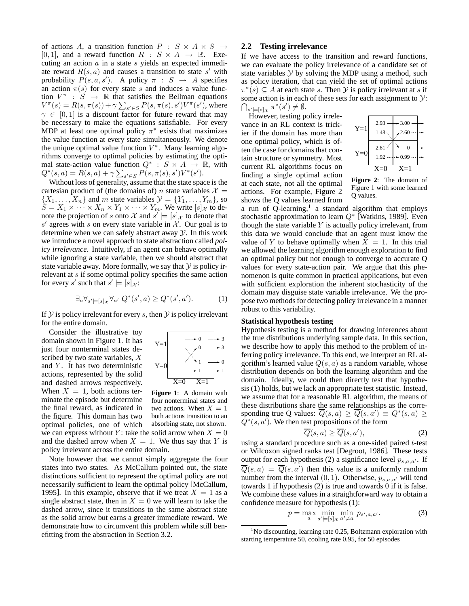of actions A, a transition function  $P : S \times A \times S \rightarrow$ [0, 1], and a reward function  $R : S \times A \rightarrow \mathbb{R}$ . Executing an action  $a$  in a state  $s$  yields an expected immediate reward  $R(s, a)$  and causes a transition to state s' with probability  $P(s, a, s')$ . A policy  $\pi : S \rightarrow A$  specifies an action  $\pi(s)$  for every state s and induces a value function  $V^{\pi}$  :  $S \rightarrow \mathbb{R}$  that satisfies the Bellman equations  $V^{\pi}(s) = R(s, \pi(s)) + \gamma \sum_{s' \in S} P(s, \pi(s), s') V^{\pi}(s')$ , where  $\gamma \in [0, 1]$  is a discount factor for future reward that may be necessary to make the equations satisfiable. For every MDP at least one optimal policy  $\pi^*$  exists that maximizes the value function at every state simultaneously. We denote the unique optimal value function  $V^*$ . Many learning algorithms converge to optimal policies by estimating the optimal state-action value function  $Q^* : S \times A \rightarrow \mathbb{R}$ , with  $Q^*(s, a) = R(s, a) + \gamma \sum_{s' \in S} P(s, \pi(s), s') V^*(s').$ 

Without loss of generality, assume that the state space is the cartesian product of (the domains of) *n* state variables  $\mathcal{X} =$  $\{X_1, \ldots, X_n\}$  and m state variables  $\mathcal{Y} = \{Y_1, \ldots, Y_m\}$ , so  $\hat{S} = X_1 \times \cdots \times X_n \times Y_1 \times \cdots \times Y_m$ . We write  $[s]_{\mathcal{X}}$  to denote the projection of s onto X and  $s' \models [s]_{\mathcal{X}}$  to denote that s' agrees with s on every state variable in  $\mathcal{X}$ . Our goal is to determine when we can safely abstract away  $\mathcal{Y}$ . In this work we introduce a novel approach to state abstraction called *policy irrelevance*. Intuitively, if an agent can behave optimally while ignoring a state variable, then we should abstract that state variable away. More formally, we say that  $\mathcal Y$  is policy irrelevant at s if some optimal policy specifies the same action for every s' such that  $s' \models [s]_{\mathcal{X}}$ :

$$
\exists_{a} \forall_{s' \models [s]_{\mathcal{X}}} \forall_{a'} Q^*(s', a) \ge Q^*(s', a'). \tag{1}
$$

If  $Y$  is policy irrelevant for every s, then  $Y$  is policy irrelevant for the entire domain.

Consider the illustrative toy domain shown in Figure 1. It has just four nonterminal states described by two state variables, X and  $Y$ . It has two deterministic actions, represented by the solid and dashed arrows respectively. When  $X = 1$ , both actions terminate the episode but determine the final reward, as indicated in the figure. This domain has two optimal policies, one of which we can express without Y: take the solid arrow when  $X = 0$ and the dashed arrow when  $X = 1$ . We thus say that Y is policy irrelevant across the entire domain.



**Figure 1**: A domain with four nonterminal states and two actions. When  $X = 1$ both actions transition to an absorbing state, not shown.

Note however that we cannot simply aggregate the four states into two states. As McCallum pointed out, the state distinctions sufficient to represent the optimal policy are not necessarily sufficient to learn the optimal policy [McCallum, 1995]. In this example, observe that if we treat  $X = 1$  as a single abstract state, then in  $X = 0$  we will learn to take the dashed arrow, since it transitions to the same abstract state as the solid arrow but earns a greater immediate reward. We demonstrate how to circumvent this problem while still benefitting from the abstraction in Section 3.2.

### **2.2 Testing irrelevance**

If we have access to the transition and reward functions, we can evaluate the policy irrelevance of a candidate set of state variables  $Y$  by solving the MDP using a method, such as policy iteration, that can yield the set of optimal actions  $\pi^*(s) \subseteq A$  at each state s. Then Y is policy irrelevant at s if some action is in each of these sets for each assignment to  $\mathcal{Y}$ :  $\bigcap_{s' \models [s]_{\mathcal{X}}} \pi^*(s') \neq \emptyset.$ 

However, testing policy irrelevance in an RL context is trickier if the domain has more than one optimal policy, which is often the case for domains that contain structure or symmetry. Most current RL algorithms focus on finding a single optimal action at each state, not all the optimal actions. For example, Figure 2 shows the Q values learned from



**Figure 2**: The domain of Figure 1 with some learned Q values.

a run of Q-learning,<sup>1</sup> a standard algorithm that employs stochastic approximation to learn  $Q^*$  [Watkins, 1989]. Even though the state variable  $Y$  is actually policy irrelevant, from this data we would conclude that an agent must know the value of Y to behave optimally when  $X = 1$ . In this trial we allowed the learning algorithm enough exploration to find an optimal policy but not enough to converge to accurate Q values for every state-action pair. We argue that this phenomenon is quite common in practical applications, but even with sufficient exploration the inherent stochasticity of the domain may disguise state variable irrelevance. We the propose two methods for detecting policy irrelevance in a manner robust to this variability.

### **Statistical hypothesis testing**

Hypothesis testing is a method for drawing inferences about the true distributions underlying sample data. In this section, we describe how to apply this method to the problem of inferring policy irrelevance. To this end, we interpret an RL algorithm's learned value  $Q(s, a)$  as a random variable, whose distribution depends on both the learning algorithm and the domain. Ideally, we could then directly test that hypothesis (1) holds, but we lack an appropriate test statistic. Instead, we assume that for a reasonable RL algorithm, the means of these distributions share the same relationships as the corresponding true Q values:  $\overline{Q}(s, a) \ge \overline{Q}(s, a') \equiv Q^*(s, a) \ge$  $\overline{Q}^*(s, a')$ . We then test propositions of the form

$$
\overline{Q}(s,a) \ge \overline{Q}(s,a'),\tag{2}
$$

using a standard procedure such as a one-sided paired t-test or Wilcoxon signed ranks test [Degroot, 1986]. These tests output for each hypothesis (2) a significance level  $p_{s,a,a'}$ . If  $\overline{Q}(s, a) = \overline{Q}(s, a')$  then this value is a uniformly random number from the interval  $(0, 1)$ . Otherwise,  $p_{s,a,a'}$  will tend towards 1 if hypothesis (2) is true and towards 0 if it is false. We combine these values in a straightforward way to obtain a confidence measure for hypothesis (1):

$$
p = \max_{a} \min_{s' \in [s]_{\mathcal{X}}} \min_{a' \neq a} p_{s',a,a'}.
$$
 (3)

 $1$ No discounting, learning rate 0.25, Boltzmann exploration with starting temperature 50, cooling rate 0.95, for 50 episodes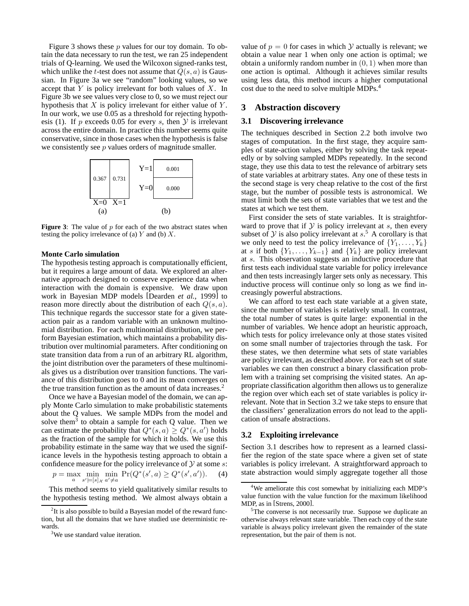Figure 3 shows these p values for our toy domain. To obtain the data necessary to run the test, we ran 25 independent trials of Q-learning. We used the Wilcoxon signed-ranks test, which unlike the t-test does not assume that  $Q(s, a)$  is Gaussian. In Figure 3a we see "random" looking values, so we accept that  $Y$  is policy irrelevant for both values of  $X$ . In Figure 3b we see values very close to 0, so we must reject our hypothesis that  $X$  is policy irrelevant for either value of  $Y$ . In our work, we use 0.05 as a threshold for rejecting hypothesis (1). If p exceeds 0.05 for every s, then  $Y$  is irrelevant across the entire domain. In practice this number seems quite conservative, since in those cases when the hypothesis is false we consistently see p values orders of magnitude smaller.



**Figure 3**: The value of  $p$  for each of the two abstract states when testing the policy irrelevance of (a)  $Y$  and (b)  $X$ .

#### **Monte Carlo simulation**

The hypothesis testing approach is computationally efficient, but it requires a large amount of data. We explored an alternative approach designed to conserve experience data when interaction with the domain is expensive. We draw upon work in Bayesian MDP models [Dearden *et al.*, 1999] to reason more directly about the distribution of each  $Q(s, a)$ . This technique regards the successor state for a given stateaction pair as a random variable with an unknown multinomial distribution. For each multinomial distribution, we perform Bayesian estimation, which maintains a probability distribution over multinomial parameters. After conditioning on state transition data from a run of an arbitrary RL algorithm, the joint distribution over the parameters of these multinomials gives us a distribution over transition functions. The variance of this distribution goes to 0 and its mean converges on the true transition function as the amount of data increases. 2

Once we have a Bayesian model of the domain, we can apply Monte Carlo simulation to make probabilistic statements about the Q values. We sample MDPs from the model and solve them<sup>3</sup> to obtain a sample for each Q value. Then we can estimate the probability that  $Q^*(s, a) \ge Q^*(s, a')$  holds as the fraction of the sample for which it holds. We use this probability estimate in the same way that we used the significance levels in the hypothesis testing approach to obtain a confidence measure for the policy irrelevance of  $Y$  at some  $s$ :

$$
p = \max_{a} \min_{s' \in [s] \times a' \neq a} \Pr(Q^*(s', a) \ge Q^*(s', a')). \tag{4}
$$

This method seems to yield qualitatively similar results to the hypothesis testing method. We almost always obtain a value of  $p = 0$  for cases in which  $\mathcal Y$  actually is relevant; we obtain a value near 1 when only one action is optimal; we obtain a uniformly random number in  $(0, 1)$  when more than one action is optimal. Although it achieves similar results using less data, this method incurs a higher computational cost due to the need to solve multiple MDPs.<sup>4</sup>

### **3 Abstraction discovery**

### **3.1 Discovering irrelevance**

The techniques described in Section 2.2 both involve two stages of computation. In the first stage, they acquire samples of state-action values, either by solving the task repeatedly or by solving sampled MDPs repeatedly. In the second stage, they use this data to test the relevance of arbitrary sets of state variables at arbitrary states. Any one of these tests in the second stage is very cheap relative to the cost of the first stage, but the number of possible tests is astronomical. We must limit both the sets of state variables that we test and the states at which we test them.

First consider the sets of state variables. It is straightforward to prove that if  $Y$  is policy irrelevant at s, then every subset of  $Y$  is also policy irrelevant at  $s^5$ . A corollary is that we only need to test the policy irrelevance of  $\{Y_1, \ldots, Y_k\}$ at s if both  $\{Y_1, \ldots, Y_{k-1}\}\$  and  $\{Y_k\}$  are policy irrelevant at s. This observation suggests an inductive procedure that first tests each individual state variable for policy irrelevance and then tests increasingly larger sets only as necessary. This inductive process will continue only so long as we find increasingly powerful abstractions.

We can afford to test each state variable at a given state, since the number of variables is relatively small. In contrast, the total number of states is quite large: exponential in the number of variables. We hence adopt an heuristic approach, which tests for policy irrelevance only at those states visited on some small number of trajectories through the task. For these states, we then determine what sets of state variables are policy irrelevant, as described above. For each set of state variables we can then construct a binary classification problem with a training set comprising the visited states. An appropriate classification algorithm then allows us to generalize the region over which each set of state variables is policy irrelevant. Note that in Section 3.2 we take steps to ensure that the classifiers' generalization errors do not lead to the application of unsafe abstractions.

#### **3.2 Exploiting irrelevance**

Section 3.1 describes how to represent as a learned classifier the region of the state space where a given set of state variables is policy irrelevant. A straightforward approach to state abstraction would simply aggregate together all those

 $2$ It is also possible to build a Bayesian model of the reward function, but all the domains that we have studied use deterministic rewards.

<sup>&</sup>lt;sup>3</sup>We use standard value iteration.

<sup>&</sup>lt;sup>4</sup>We ameliorate this cost somewhat by initializing each MDP's value function with the value function for the maximum likelihood MDP, as in [Strens, 2000].

<sup>&</sup>lt;sup>5</sup>The converse is not necessarily true. Suppose we duplicate an otherwise always relevant state variable. Then each copy of the state variable is always policy irrelevant given the remainder of the state representation, but the pair of them is not.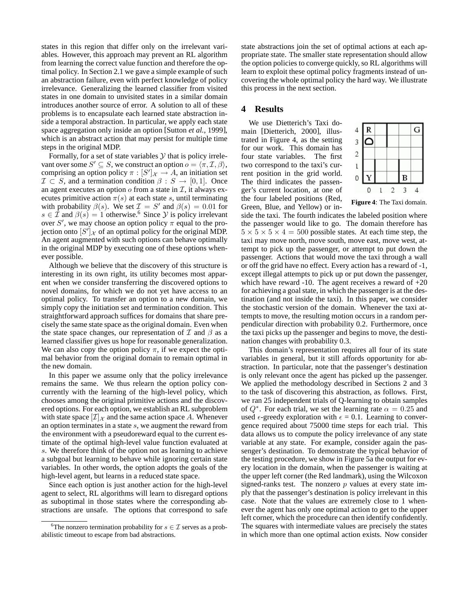states in this region that differ only on the irrelevant variables. However, this approach may prevent an RL algorithm from learning the correct value function and therefore the optimal policy. In Section 2.1 we gave a simple example of such an abstraction failure, even with perfect knowledge of policy irrelevance. Generalizing the learned classifier from visited states in one domain to unvisited states in a similar domain introduces another source of error. A solution to all of these problems is to encapsulate each learned state abstraction inside a temporal abstraction. In particular, we apply each state space aggregation only inside an option [Sutton *et al.*, 1999], which is an abstract action that may persist for multiple time steps in the original MDP.

Formally, for a set of state variables  $Y$  that is policy irrelevant over some  $S' \subseteq S$ , we construct an option  $o = \langle \pi, \mathcal{I}, \beta \rangle$ , comprising an option policy  $\pi : [S']_{\mathcal{X}} \to A$ , an initiation set  $\mathcal{I} \subset S$ , and a termination condition  $\beta : S \to [0, 1]$ . Once an agent executes an option  $\sigma$  from a state in  $\mathcal{I}$ , it always executes primitive action  $\pi(s)$  at each state s, until terminating with probability  $\beta(s)$ . We set  $\mathcal{I} = S'$  and  $\beta(s) = 0.01$  for  $s \in \mathcal{I}$  and  $\beta(s) = 1$  otherwise.<sup>6</sup> Since  $\mathcal{Y}$  is policy irrelevant over S', we may choose an option policy  $\pi$  equal to the projection onto  $[S']_{\mathcal{X}}$  of an optimal policy for the original MDP. An agent augmented with such options can behave optimally in the original MDP by executing one of these options whenever possible.

Although we believe that the discovery of this structure is interesting in its own right, its utility becomes most apparent when we consider transferring the discovered options to novel domains, for which we do not yet have access to an optimal policy. To transfer an option to a new domain, we simply copy the initiation set and termination condition. This straightforward approach suffices for domains that share precisely the same state space as the original domain. Even when the state space changes, our representation of  $\mathcal I$  and  $\beta$  as a learned classifier gives us hope for reasonable generalization. We can also copy the option policy  $\pi$ , if we expect the optimal behavior from the original domain to remain optimal in the new domain.

In this paper we assume only that the policy irrelevance remains the same. We thus relearn the option policy concurrently with the learning of the high-level policy, which chooses among the original primitive actions and the discovered options. For each option, we establish an RL subproblem with state space  $[\mathcal{I}]_{\mathcal{X}}$  and the same action space A. Whenever an option terminates in a state s, we augment the reward from the environment with a pseudoreward equal to the current estimate of the optimal high-level value function evaluated at s. We therefore think of the option not as learning to achieve a subgoal but learning to behave while ignoring certain state variables. In other words, the option adopts the goals of the high-level agent, but learns in a reduced state space.

Since each option is just another action for the high-level agent to select, RL algorithms will learn to disregard options as suboptimal in those states where the corresponding abstractions are unsafe. The options that correspond to safe state abstractions join the set of optimal actions at each appropriate state. The smaller state representation should allow the option policies to converge quickly, so RL algorithms will learn to exploit these optimal policy fragments instead of uncovering the whole optimal policy the hard way. We illustrate this process in the next section.

# **4 Results**

We use Dietterich's Taxi domain [Dietterich, 2000], illustrated in Figure 4, as the setting for our work. This domain has four state variables. The first two correspond to the taxi's current position in the grid world. The third indicates the passenger's current location, at one of the four labeled positions (Red, Green, Blue, and Yellow) or in-



**Figure 4**: The Taxi domain.

side the taxi. The fourth indicates the labeled position where the passenger would like to go. The domain therefore has  $5 \times 5 \times 5 \times 4 = 500$  possible states. At each time step, the taxi may move north, move south, move east, move west, attempt to pick up the passenger, or attempt to put down the passenger. Actions that would move the taxi through a wall or off the grid have no effect. Every action has a reward of -1, except illegal attempts to pick up or put down the passenger, which have reward -10. The agent receives a reward of  $+20$ for achieving a goal state, in which the passenger is at the destination (and not inside the taxi). In this paper, we consider the stochastic version of the domain. Whenever the taxi attempts to move, the resulting motion occurs in a random perpendicular direction with probability 0.2. Furthermore, once the taxi picks up the passenger and begins to move, the destination changes with probability 0.3.

This domain's representation requires all four of its state variables in general, but it still affords opportunity for abstraction. In particular, note that the passenger's destination is only relevant once the agent has picked up the passenger. We applied the methodology described in Sections 2 and 3 to the task of discovering this abstraction, as follows. First, we ran 25 independent trials of Q-learning to obtain samples of  $Q^*$ . For each trial, we set the learning rate  $\alpha = 0.25$  and used  $\epsilon$ -greedy exploration with  $\epsilon = 0.1$ . Learning to convergence required about 75000 time steps for each trial. This data allows us to compute the policy irrelevance of any state variable at any state. For example, consider again the passenger's destination. To demonstrate the typical behavior of the testing procedure, we show in Figure 5a the output for every location in the domain, when the passenger is waiting at the upper left corner (the Red landmark), using the Wilcoxon signed-ranks test. The nonzero  $p$  values at every state imply that the passenger's destination is policy irrelevant in this case. Note that the values are extremely close to 1 whenever the agent has only one optimal action to get to the upper left corner, which the procedure can then identify confidently. The squares with intermediate values are precisely the states in which more than one optimal action exists. Now consider

<sup>&</sup>lt;sup>6</sup>The nonzero termination probability for  $s \in \mathcal{I}$  serves as a probabilistic timeout to escape from bad abstractions.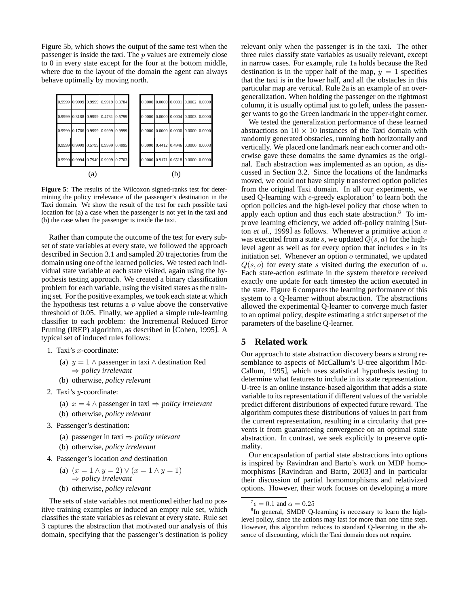Figure 5b, which shows the output of the same test when the passenger is inside the taxi. The  $p$  values are extremely close to 0 in every state except for the four at the bottom middle, where due to the layout of the domain the agent can always behave optimally by moving north.



**Figure 5**: The results of the Wilcoxon signed-ranks test for determining the policy irrelevance of the passenger's destination in the Taxi domain. We show the result of the test for each possible taxi location for (a) a case when the passenger is not yet in the taxi and (b) the case when the passenger is inside the taxi.

Rather than compute the outcome of the test for every subset of state variables at every state, we followed the approach described in Section 3.1 and sampled 20 trajectories from the domain using one of the learned policies. We tested each individual state variable at each state visited, again using the hypothesis testing approach. We created a binary classification problem for each variable, using the visited states as the training set. For the positive examples, we took each state at which the hypothesis test returns a  $p$  value above the conservative threshold of 0.05. Finally, we applied a simple rule-learning classifier to each problem: the Incremental Reduced Error Pruning (IREP) algorithm, as described in [Cohen, 1995]. A typical set of induced rules follows:

- 1. Taxi's x-coordinate:
	- (a)  $y = 1 \land$  passenger in taxi  $\land$  destination Red ⇒ *policy irrelevant*
	- (b) otherwise, *policy relevant*
- 2. Taxi's  $y$ -coordinate:
	- (a) x = 4 ∧ passenger in taxi ⇒ *policy irrelevant*
	- (b) otherwise, *policy relevant*
- 3. Passenger's destination:
	- (a) passenger in taxi ⇒ *policy relevant*
	- (b) otherwise, *policy irrelevant*
- 4. Passenger's location *and* destination
	- (a)  $(x = 1 \land y = 2) \lor (x = 1 \land y = 1)$ ⇒ *policy irrelevant*
	- (b) otherwise, *policy relevant*

The sets of state variables not mentioned either had no positive training examples or induced an empty rule set, which classifies the state variables as relevant at every state. Rule set 3 captures the abstraction that motivated our analysis of this domain, specifying that the passenger's destination is policy relevant only when the passenger is in the taxi. The other three rules classify state variables as usually relevant, except in narrow cases. For example, rule 1a holds because the Red destination is in the upper half of the map,  $y = 1$  specifies that the taxi is in the lower half, and all the obstacles in this particular map are vertical. Rule 2a is an example of an overgeneralization. When holding the passenger on the rightmost column, it is usually optimal just to go left, unless the passenger wants to go the Green landmark in the upper-right corner.

We tested the generalization performance of these learned abstractions on  $10 \times 10$  instances of the Taxi domain with randomly generated obstacles, running both horizontally and vertically. We placed one landmark near each corner and otherwise gave these domains the same dynamics as the original. Each abstraction was implemented as an option, as discussed in Section 3.2. Since the locations of the landmarks moved, we could not have simply transferred option policies from the original Taxi domain. In all our experiments, we used Q-learning with  $\epsilon$ -greedy exploration<sup>7</sup> to learn both the option policies and the high-level policy that chose when to apply each option and thus each state abstraction.<sup>8</sup> To improve learning efficiency, we added off-policy training [Sutton *et al.*, 1999] as follows. Whenever a primitive action a was executed from a state s, we updated  $Q(s, a)$  for the highlevel agent as well as for every option that includes s in its initiation set. Whenever an option  $o$  terminated, we updated  $Q(s, o)$  for every state s visited during the execution of o. Each state-action estimate in the system therefore received exactly one update for each timestep the action executed in the state. Figure 6 compares the learning performance of this system to a Q-learner without abstraction. The abstractions allowed the experimental Q-learner to converge much faster to an optimal policy, despite estimating a strict superset of the parameters of the baseline Q-learner.

# **5 Related work**

Our approach to state abstraction discovery bears a strong resemblance to aspects of McCallum's U-tree algorithm [Mc-Callum, 1995], which uses statistical hypothesis testing to determine what features to include in its state representation. U-tree is an online instance-based algorithm that adds a state variable to its representation if different values of the variable predict different distributions of expected future reward. The algorithm computes these distributions of values in part from the current representation, resulting in a circularity that prevents it from guaranteeing convergence on an optimal state abstraction. In contrast, we seek explicitly to preserve optimality.

Our encapsulation of partial state abstractions into options is inspired by Ravindran and Barto's work on MDP homomorphisms [Ravindran and Barto, 2003] and in particular their discussion of partial homomorphisms and relativized options. However, their work focuses on developing a more

 $^7\epsilon = 0.1$  and  $\alpha = 0.25$ 

<sup>&</sup>lt;sup>8</sup>In general, SMDP Q-learning is necessary to learn the highlevel policy, since the actions may last for more than one time step. However, this algorithm reduces to standard Q-learning in the absence of discounting, which the Taxi domain does not require.